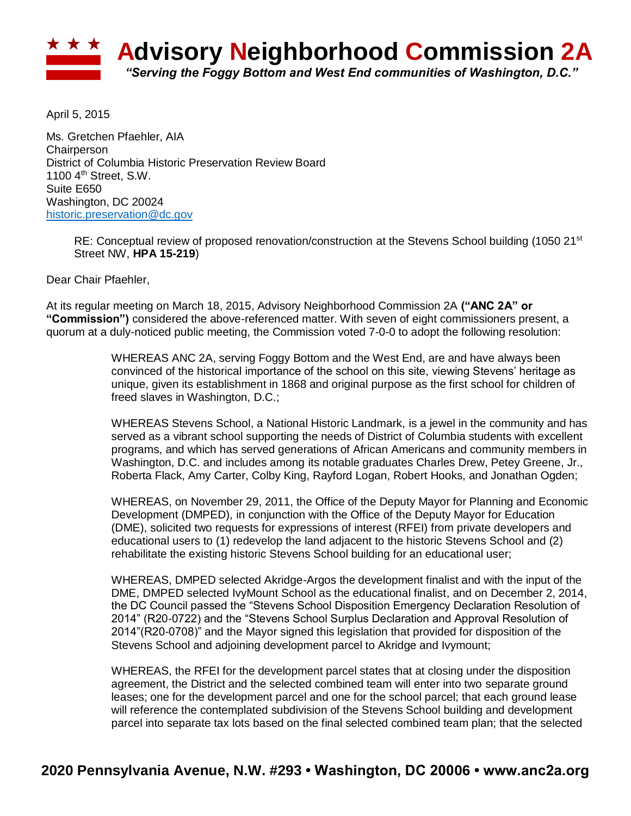

April 5, 2015

Ms. Gretchen Pfaehler, AIA **Chairperson** District of Columbia Historic Preservation Review Board 1100 4<sup>th</sup> Street, S.W. Suite E650 Washington, DC 20024 [historic.preservation@dc.gov](mailto:historic.preservation@dc.gov)

RE: Conceptual review of proposed renovation/construction at the Stevens School building (1050 21<sup>st</sup>) Street NW, **HPA 15-219**)

Dear Chair Pfaehler,

At its regular meeting on March 18, 2015, Advisory Neighborhood Commission 2A **("ANC 2A" or "Commission")** considered the above-referenced matter. With seven of eight commissioners present, a quorum at a duly-noticed public meeting, the Commission voted 7-0-0 to adopt the following resolution:

> WHEREAS ANC 2A, serving Foggy Bottom and the West End, are and have always been convinced of the historical importance of the school on this site, viewing Stevens' heritage as unique, given its establishment in 1868 and original purpose as the first school for children of freed slaves in Washington, D.C.;

WHEREAS Stevens School, a National Historic Landmark, is a jewel in the community and has served as a vibrant school supporting the needs of District of Columbia students with excellent programs, and which has served generations of African Americans and community members in Washington, D.C. and includes among its notable graduates Charles Drew, Petey Greene, Jr., Roberta Flack, Amy Carter, Colby King, Rayford Logan, Robert Hooks, and Jonathan Ogden;

WHEREAS, on November 29, 2011, the Office of the Deputy Mayor for Planning and Economic Development (DMPED), in conjunction with the Office of the Deputy Mayor for Education (DME), solicited two requests for expressions of interest (RFEI) from private developers and educational users to (1) redevelop the land adjacent to the historic Stevens School and (2) rehabilitate the existing historic Stevens School building for an educational user;

WHEREAS, DMPED selected Akridge-Argos the development finalist and with the input of the DME, DMPED selected IvyMount School as the educational finalist, and on December 2, 2014, the DC Council passed the "Stevens School Disposition Emergency Declaration Resolution of 2014" (R20-0722) and the "Stevens School Surplus Declaration and Approval Resolution of 2014"(R20-0708)" and the Mayor signed this legislation that provided for disposition of the Stevens School and adjoining development parcel to Akridge and Ivymount;

WHEREAS, the RFEI for the development parcel states that at closing under the disposition agreement, the District and the selected combined team will enter into two separate ground leases; one for the development parcel and one for the school parcel; that each ground lease will reference the contemplated subdivision of the Stevens School building and development parcel into separate tax lots based on the final selected combined team plan; that the selected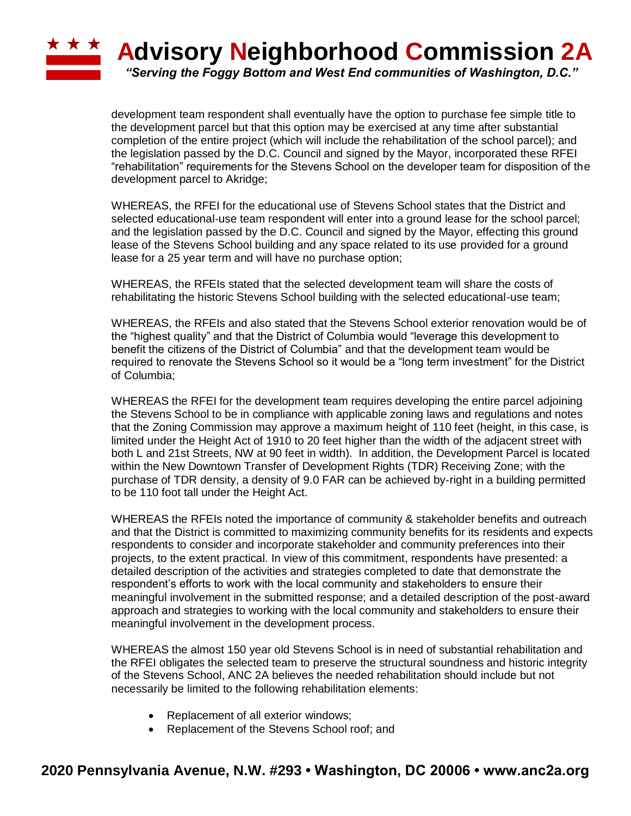## **ADVISORY Neighborhood Commission 2A** *"Serving the Foggy Bottom and West End communities of Washington, D.C."*

development team respondent shall eventually have the option to purchase fee simple title to the development parcel but that this option may be exercised at any time after substantial completion of the entire project (which will include the rehabilitation of the school parcel); and the legislation passed by the D.C. Council and signed by the Mayor, incorporated these RFEI "rehabilitation" requirements for the Stevens School on the developer team for disposition of the development parcel to Akridge;

WHEREAS, the RFEI for the educational use of Stevens School states that the District and selected educational-use team respondent will enter into a ground lease for the school parcel; and the legislation passed by the D.C. Council and signed by the Mayor, effecting this ground lease of the Stevens School building and any space related to its use provided for a ground lease for a 25 year term and will have no purchase option;

WHEREAS, the RFEIs stated that the selected development team will share the costs of rehabilitating the historic Stevens School building with the selected educational-use team;

WHEREAS, the RFEIs and also stated that the Stevens School exterior renovation would be of the "highest quality" and that the District of Columbia would "leverage this development to benefit the citizens of the District of Columbia" and that the development team would be required to renovate the Stevens School so it would be a "long term investment" for the District of Columbia;

WHEREAS the RFEI for the development team requires developing the entire parcel adjoining the Stevens School to be in compliance with applicable zoning laws and regulations and notes that the Zoning Commission may approve a maximum height of 110 feet (height, in this case, is limited under the Height Act of 1910 to 20 feet higher than the width of the adjacent street with both L and 21st Streets, NW at 90 feet in width). In addition, the Development Parcel is located within the New Downtown Transfer of Development Rights (TDR) Receiving Zone; with the purchase of TDR density, a density of 9.0 FAR can be achieved by‐right in a building permitted to be 110 foot tall under the Height Act.

WHEREAS the RFEIs noted the importance of community & stakeholder benefits and outreach and that the District is committed to maximizing community benefits for its residents and expects respondents to consider and incorporate stakeholder and community preferences into their projects, to the extent practical. In view of this commitment, respondents have presented: a detailed description of the activities and strategies completed to date that demonstrate the respondent's efforts to work with the local community and stakeholders to ensure their meaningful involvement in the submitted response; and a detailed description of the post‐award approach and strategies to working with the local community and stakeholders to ensure their meaningful involvement in the development process.

WHEREAS the almost 150 year old Stevens School is in need of substantial rehabilitation and the RFEI obligates the selected team to preserve the structural soundness and historic integrity of the Stevens School, ANC 2A believes the needed rehabilitation should include but not necessarily be limited to the following rehabilitation elements:

- Replacement of all exterior windows;
- Replacement of the Stevens School roof; and